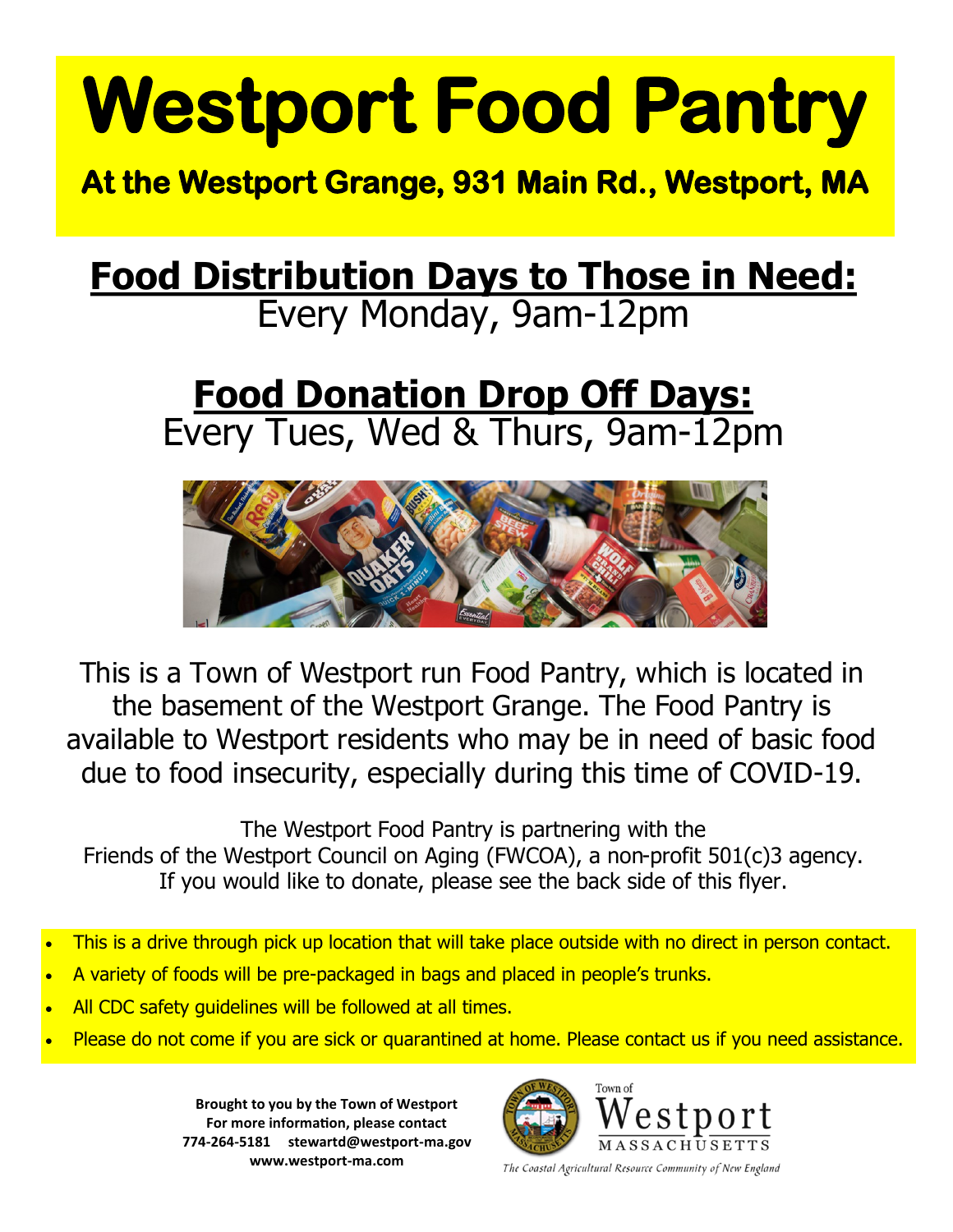# **Westport Food Pantry**

**At the Westport Grange, 931 Main Rd., Westport, MA** 

# **Food Distribution Days to Those in Need:**  Every Monday, 9am-12pm

### **Food Donation Drop Off Days:**  Every Tues, Wed & Thurs, 9am-12pm



This is a Town of Westport run Food Pantry, which is located in the basement of the Westport Grange. The Food Pantry is available to Westport residents who may be in need of basic food due to food insecurity, especially during this time of COVID-19.

The Westport Food Pantry is partnering with the Friends of the Westport Council on Aging (FWCOA), a non-profit 501(c)3 agency. If you would like to donate, please see the back side of this flyer.

- This is a drive through pick up location that will take place outside with no direct in person contact.
- A variety of foods will be pre-packaged in bags and placed in people's trunks.
- All CDC safety guidelines will be followed at all times.
- Please do not come if you are sick or quarantined at home. Please contact us if you need assistance.

**Brought to you by the Town of Westport For more information, please contact 774-264-5181 stewartd@westport-ma.gov www.westport-ma.com**



The Coastal Agricultural Resource Community of New England